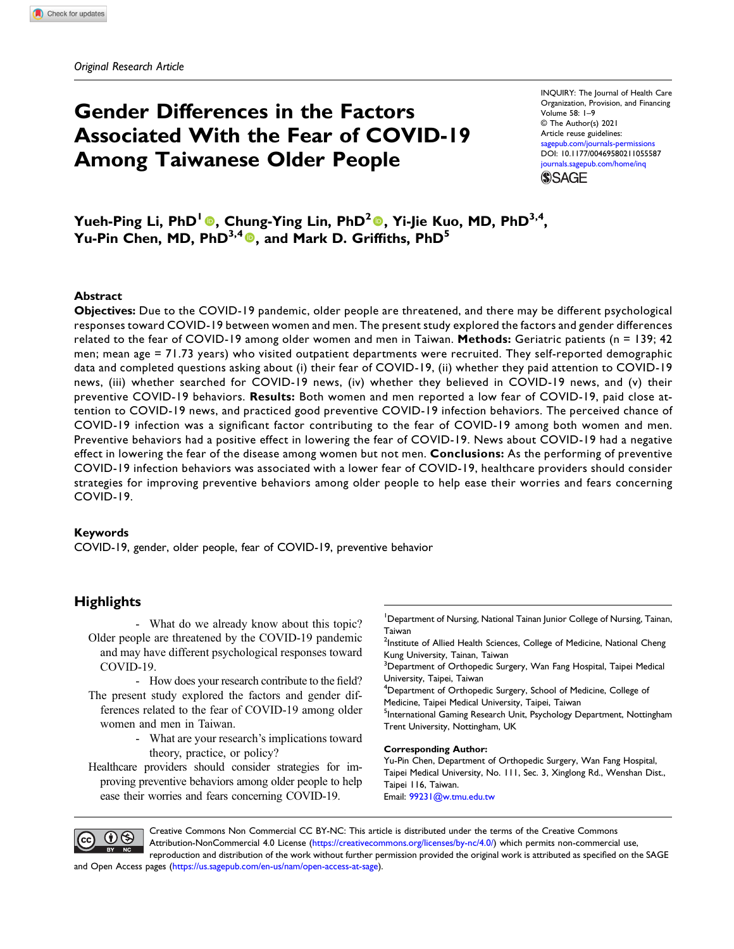# Gender Differences in the Factors Associated With the Fear of COVID-19 Among Taiwanese Older People

INQUIRY: The Journal of Health Care Organization, Provision, and Financing Volume 58: 1–9 © The Author(s) 2021 Article reuse guidelines: [sagepub.com/journals-permissions](https://us.sagepub.com/en-us/journals-permissions) DOI: [10.1177/00469580211055587](https://doi.org/10.1177/00469580211055587) [journals.sagepub.com/home/inq](https://journals.sagepub.com/home/inq) **SSAGE** 

Yueh-Ping Li, PhD<sup>1</sup>®, Chung-Ying Lin, PhD<sup>2</sup>®, Yi-Jie Kuo, MD, PhD<sup>3,4</sup>, Yu-Pin Chen, MD, PhD<sup>3,4</sup><sup>0</sup>, and Mark D. Griffiths, PhD<sup>5</sup>

#### Abstract

Objectives: Due to the COVID-19 pandemic, older people are threatened, and there may be different psychological responses toward COVID-19 between women and men. The present study explored the factors and gender differences related to the fear of COVID-19 among older women and men in Taiwan. Methods: Geriatric patients (n = 139; 42 men; mean age = 71.73 years) who visited outpatient departments were recruited. They self-reported demographic data and completed questions asking about (i) their fear of COVID-19, (ii) whether they paid attention to COVID-19 news, (iii) whether searched for COVID-19 news, (iv) whether they believed in COVID-19 news, and (v) their preventive COVID-19 behaviors. Results: Both women and men reported a low fear of COVID-19, paid close attention to COVID-19 news, and practiced good preventive COVID-19 infection behaviors. The perceived chance of COVID-19 infection was a significant factor contributing to the fear of COVID-19 among both women and men. Preventive behaviors had a positive effect in lowering the fear of COVID-19. News about COVID-19 had a negative effect in lowering the fear of the disease among women but not men. Conclusions: As the performing of preventive COVID-19 infection behaviors was associated with a lower fear of COVID-19, healthcare providers should consider strategies for improving preventive behaviors among older people to help ease their worries and fears concerning COVID-19.

#### Keywords

COVID-19, gender, older people, fear of COVID-19, preventive behavior

# **Highlights**

- What do we already know about this topic? Older people are threatened by the COVID-19 pandemic and may have different psychological responses toward COVID-19.
- How does your research contribute to the field? The present study explored the factors and gender differences related to the fear of COVID-19 among older women and men in Taiwan.
	- What are your research's implications toward theory, practice, or policy?

Healthcare providers should consider strategies for improving preventive behaviors among older people to help ease their worries and fears concerning COVID-19.

<sup>1</sup> Department of Nursing, National Tainan Junior College of Nursing, Tainan, Taiwan

 $^2$ Institute of Allied Health Sciences, College of Medicine, National Cheng Kung University, Tainan, Taiwan

 $^3$ Department of Orthopedic Surgery, Wan Fang Hospital, Taipei Medical University, Taipei, Taiwan

<sup>4</sup>Department of Orthopedic Surgery, School of Medicine, College of Medicine, Taipei Medical University, Taipei, Taiwan

<sup>5</sup>International Gaming Research Unit, Psychology Department, Nottingham Trent University, Nottingham, UK

#### Corresponding Author:

Yu-Pin Chen, Department of Orthopedic Surgery, Wan Fang Hospital, Taipei Medical University, No. 111, Sec. 3, Xinglong Rd., Wenshan Dist., Taipei 116, Taiwan. Email: [99231@w.tmu.edu.tw](mailto:99231@w.tmu.edu.tw)



Creative Commons Non Commercial CC BY-NC: This article is distributed under the terms of the Creative Commons Attribution-NonCommercial 4.0 License ([https://creativecommons.org/licenses/by-nc/4.0/\)](https://creativecommons.org/licenses/by-nc/4.0/) which permits non-commercial use, reproduction and distribution of the work without further permission provided the original work is attributed as specified on the SAGE

and Open Access pages (<https://us.sagepub.com/en-us/nam/open-access-at-sage>).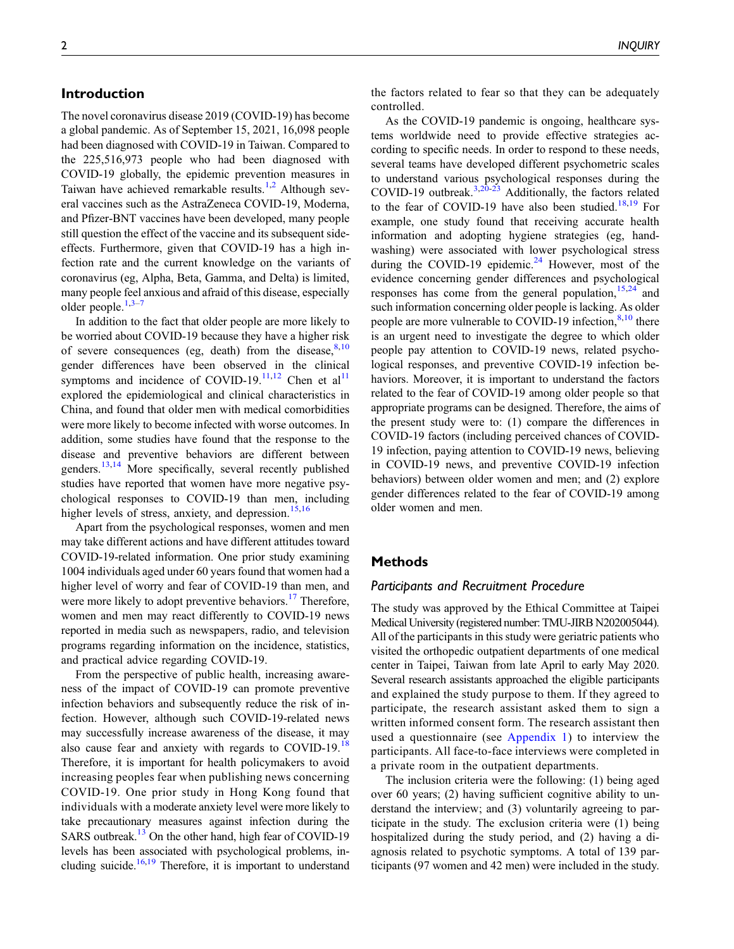# Introduction

The novel coronavirus disease 2019 (COVID-19) has become a global pandemic. As of September 15, 2021, 16,098 people had been diagnosed with COVID-19 in Taiwan. Compared to the 225,516,973 people who had been diagnosed with COVID-19 globally, the epidemic prevention measures in Taiwan have achieved remarkable results.<sup>[1,](#page-7-0)[2](#page-7-1)</sup> Although several vaccines such as the AstraZeneca COVID-19, Moderna, and Pfizer-BNT vaccines have been developed, many people still question the effect of the vaccine and its subsequent sideeffects. Furthermore, given that COVID-19 has a high infection rate and the current knowledge on the variants of coronavirus (eg, Alpha, Beta, Gamma, and Delta) is limited, many people feel anxious and afraid of this disease, especially older people. $1,3-7$  $1,3-7$  $1,3-7$  $1,3-7$ 

In addition to the fact that older people are more likely to be worried about COVID-19 because they have a higher risk of severe consequences (eg, death) from the disease,  $8,10$  $8,10$ gender differences have been observed in the clinical symptoms and incidence of COVID-19.<sup>[11,](#page-7-6)[12](#page-7-7)</sup> Chen et al<sup>[11](#page-7-6)</sup> explored the epidemiological and clinical characteristics in China, and found that older men with medical comorbidities were more likely to become infected with worse outcomes. In addition, some studies have found that the response to the disease and preventive behaviors are different between genders.<sup>[13,](#page-7-8)[14](#page-7-9)</sup> More specifically, several recently published studies have reported that women have more negative psychological responses to COVID-19 than men, including higher levels of stress, anxiety, and depression. $15,16$  $15,16$ 

Apart from the psychological responses, women and men may take different actions and have different attitudes toward COVID-19-related information. One prior study examining 1004 individuals aged under 60 years found that women had a higher level of worry and fear of COVID-19 than men, and were more likely to adopt preventive behaviors.<sup>[17](#page-7-12)</sup> Therefore, women and men may react differently to COVID-19 news reported in media such as newspapers, radio, and television programs regarding information on the incidence, statistics, and practical advice regarding COVID-19.

From the perspective of public health, increasing awareness of the impact of COVID-19 can promote preventive infection behaviors and subsequently reduce the risk of infection. However, although such COVID-19-related news may successfully increase awareness of the disease, it may also cause fear and anxiety with regards to COVID-19.<sup>[18](#page-7-13)</sup> Therefore, it is important for health policymakers to avoid increasing peoples fear when publishing news concerning COVID-19. One prior study in Hong Kong found that individuals with a moderate anxiety level were more likely to take precautionary measures against infection during the SARS outbreak.<sup>13</sup> On the other hand, high fear of COVID-19 levels has been associated with psychological problems, in-cluding suicide.<sup>[16,](#page-7-11)[19](#page-7-14)</sup> Therefore, it is important to understand the factors related to fear so that they can be adequately controlled.

As the COVID-19 pandemic is ongoing, healthcare systems worldwide need to provide effective strategies according to specific needs. In order to respond to these needs, several teams have developed different psychometric scales to understand various psychological responses during the COVID-19 outbreak. $3,2\overline{0}$  $3,2\overline{0}$ -[23](#page-7-16) Additionally, the factors related to the fear of COVID-19 have also been studied.<sup>[18,](#page-7-13)[19](#page-7-14)</sup> For example, one study found that receiving accurate health information and adopting hygiene strategies (eg, handwashing) were associated with lower psychological stress during the COVID-19 epidemic. $^{24}$  However, most of the evidence concerning gender differences and psychological responses has come from the general population,  $15,24$  $15,24$  $15,24$  and such information concerning older people is lacking. As older people are more vulnerable to COVID-19 infection,<sup>[8,](#page-7-4)[10](#page-7-5)</sup> there is an urgent need to investigate the degree to which older people pay attention to COVID-19 news, related psychological responses, and preventive COVID-19 infection behaviors. Moreover, it is important to understand the factors related to the fear of COVID-19 among older people so that appropriate programs can be designed. Therefore, the aims of the present study were to: (1) compare the differences in COVID-19 factors (including perceived chances of COVID-19 infection, paying attention to COVID-19 news, believing in COVID-19 news, and preventive COVID-19 infection behaviors) between older women and men; and (2) explore gender differences related to the fear of COVID-19 among older women and men.

## Methods

#### Participants and Recruitment Procedure

The study was approved by the Ethical Committee at Taipei Medical University (registered number: TMU-JIRB N202005044). All of the participants in this study were geriatric patients who visited the orthopedic outpatient departments of one medical center in Taipei, Taiwan from late April to early May 2020. Several research assistants approached the eligible participants and explained the study purpose to them. If they agreed to participate, the research assistant asked them to sign a written informed consent form. The research assistant then used a questionnaire (see [Appendix 1\)](#page-5-0) to interview the participants. All face-to-face interviews were completed in a private room in the outpatient departments.

The inclusion criteria were the following: (1) being aged over 60 years; (2) having sufficient cognitive ability to understand the interview; and (3) voluntarily agreeing to participate in the study. The exclusion criteria were (1) being hospitalized during the study period, and (2) having a diagnosis related to psychotic symptoms. A total of 139 participants (97 women and 42 men) were included in the study.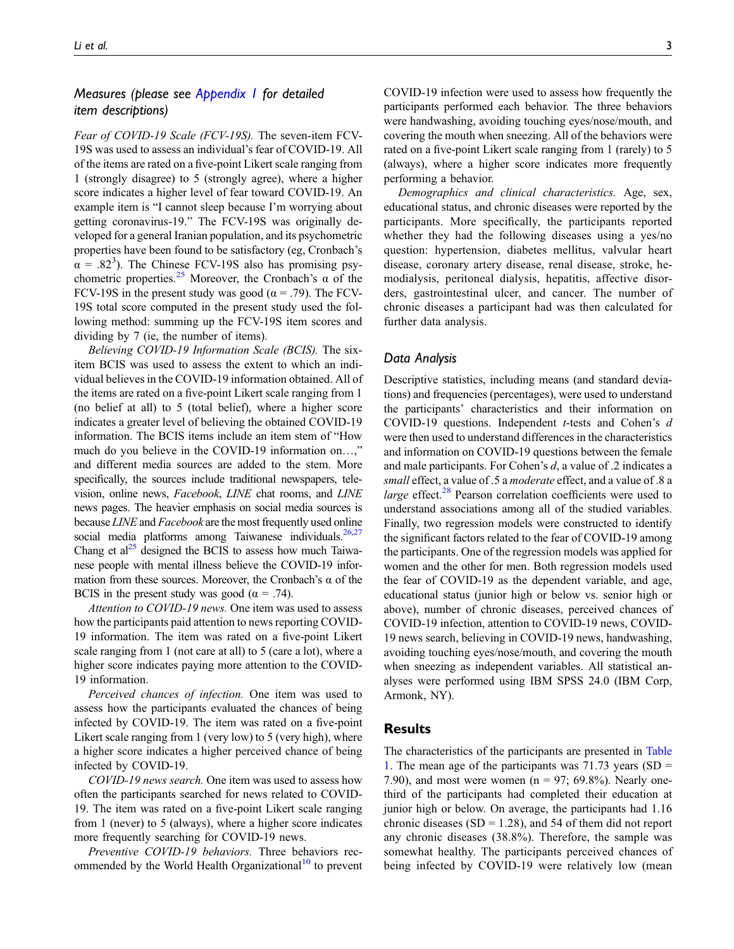# Measures (please see [Appendix 1](#page-5-0) for detailed item descriptions)

Fear of COVID-19 Scale (FCV-19S). The seven-item FCV-19S was used to assess an individual's fear of COVID-19. All of the items are rated on a five-point Likert scale ranging from 1 (strongly disagree) to 5 (strongly agree), where a higher score indicates a higher level of fear toward COVID-19. An example item is "I cannot sleep because I'm worrying about getting coronavirus-19." The FCV-19S was originally developed for a general Iranian population, and its psychometric properties have been found to be satisfactory (eg, Cronbach's  $\alpha$  = .82<sup>3</sup>). The Chinese FCV-19S also has promising psy-chometric properties.<sup>[25](#page-8-0)</sup> Moreover, the Cronbach's  $\alpha$  of the FCV-19S in the present study was good ( $\alpha$  = .79). The FCV-19S total score computed in the present study used the following method: summing up the FCV-19S item scores and dividing by 7 (ie, the number of items).

Believing COVID-19 Information Scale (BCIS). The sixitem BCIS was used to assess the extent to which an individual believes in the COVID-19 information obtained. All of the items are rated on a five-point Likert scale ranging from 1 (no belief at all) to 5 (total belief), where a higher score indicates a greater level of believing the obtained COVID-19 information. The BCIS items include an item stem of "How much do you believe in the COVID-19 information on...," and different media sources are added to the stem. More specifically, the sources include traditional newspapers, television, online news, Facebook, LINE chat rooms, and LINE news pages. The heavier emphasis on social media sources is because LINE and Facebook are the most frequently used online social media platforms among Taiwanese individuals. $26,27$  $26,27$ Chang et  $al^{25}$  designed the BCIS to assess how much Taiwanese people with mental illness believe the COVID-19 information from these sources. Moreover, the Cronbach's  $\alpha$  of the BCIS in the present study was good ( $\alpha = .74$ ).

Attention to COVID-19 news. One item was used to assess how the participants paid attention to news reporting COVID-19 information. The item was rated on a five-point Likert scale ranging from 1 (not care at all) to 5 (care a lot), where a higher score indicates paying more attention to the COVID-19 information.

Perceived chances of infection. One item was used to assess how the participants evaluated the chances of being infected by COVID-19. The item was rated on a five-point Likert scale ranging from 1 (very low) to 5 (very high), where a higher score indicates a higher perceived chance of being infected by COVID-19.

COVID-19 news search. One item was used to assess how often the participants searched for news related to COVID-19. The item was rated on a five-point Likert scale ranging from 1 (never) to 5 (always), where a higher score indicates more frequently searching for COVID-19 news.

Preventive COVID-19 behaviors. Three behaviors rec-ommended by the World Health Organizational<sup>[10](#page-7-5)</sup> to prevent COVID-19 infection were used to assess how frequently the participants performed each behavior. The three behaviors were handwashing, avoiding touching eyes/nose/mouth, and covering the mouth when sneezing. All of the behaviors were

rated on a five-point Likert scale ranging from 1 (rarely) to 5 (always), where a higher score indicates more frequently performing a behavior.

Demographics and clinical characteristics. Age, sex, educational status, and chronic diseases were reported by the participants. More specifically, the participants reported whether they had the following diseases using a yes/no question: hypertension, diabetes mellitus, valvular heart disease, coronary artery disease, renal disease, stroke, hemodialysis, peritoneal dialysis, hepatitis, affective disorders, gastrointestinal ulcer, and cancer. The number of chronic diseases a participant had was then calculated for further data analysis.

## Data Analysis

Descriptive statistics, including means (and standard deviations) and frequencies (percentages), were used to understand the participants' characteristics and their information on COVID-19 questions. Independent t-tests and Cohen's d were then used to understand differences in the characteristics and information on COVID-19 questions between the female and male participants. For Cohen's  $d$ , a value of .2 indicates a small effect, a value of .5 a moderate effect, and a value of .8 a *large* effect.<sup>[28](#page-8-3)</sup> Pearson correlation coefficients were used to understand associations among all of the studied variables. Finally, two regression models were constructed to identify the significant factors related to the fear of COVID-19 among the participants. One of the regression models was applied for women and the other for men. Both regression models used the fear of COVID-19 as the dependent variable, and age, educational status (junior high or below vs. senior high or above), number of chronic diseases, perceived chances of COVID-19 infection, attention to COVID-19 news, COVID-19 news search, believing in COVID-19 news, handwashing, avoiding touching eyes/nose/mouth, and covering the mouth when sneezing as independent variables. All statistical analyses were performed using IBM SPSS 24.0 (IBM Corp, Armonk, NY).

## Results

The characteristics of the participants are presented in [Table](#page-3-0) [1](#page-3-0). The mean age of the participants was  $71.73$  years (SD = 7.90), and most were women ( $n = 97$ ; 69.8%). Nearly onethird of the participants had completed their education at junior high or below. On average, the participants had 1.16 chronic diseases (SD = 1.28), and 54 of them did not report any chronic diseases (38.8%). Therefore, the sample was somewhat healthy. The participants perceived chances of being infected by COVID-19 were relatively low (mean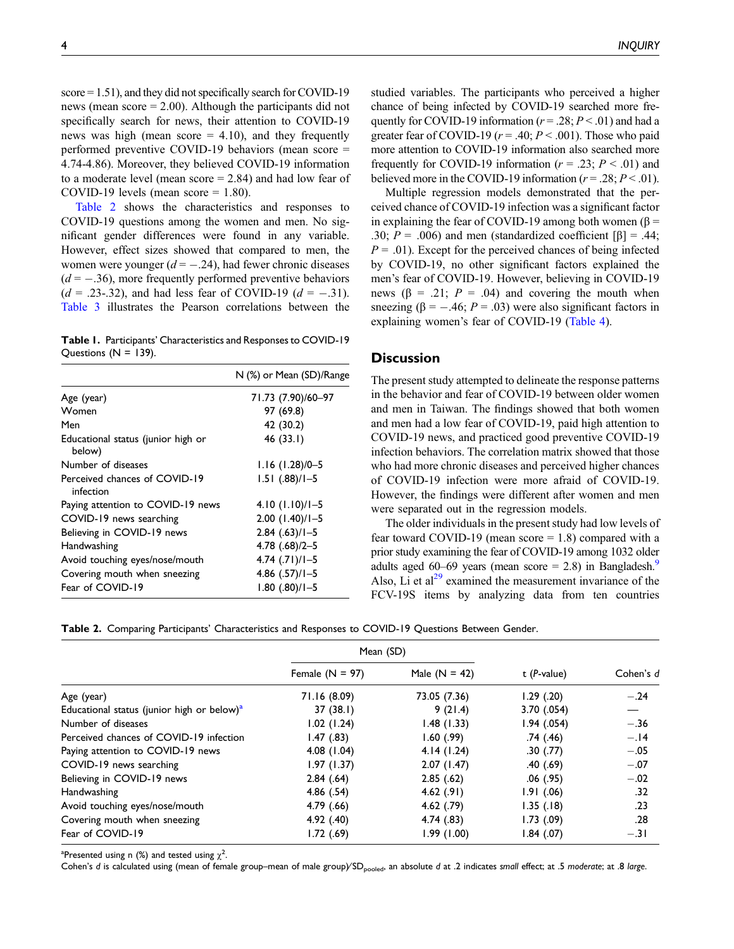score = 1.51), and they did not specifically search for COVID-19 news (mean score = 2.00). Although the participants did not specifically search for news, their attention to COVID-19 news was high (mean score  $= 4.10$ ), and they frequently performed preventive COVID-19 behaviors (mean score = 4.74-4.86). Moreover, they believed COVID-19 information to a moderate level (mean score = 2.84) and had low fear of COVID-19 levels (mean score  $= 1.80$ ).

[Table 2](#page-3-1) shows the characteristics and responses to COVID-19 questions among the women and men. No significant gender differences were found in any variable. However, effect sizes showed that compared to men, the women were younger  $(d = -.24)$ , had fewer chronic diseases  $(d = -.36)$ , more frequently performed preventive behaviors  $(d = .23-.32)$ , and had less fear of COVID-19  $(d = -.31)$ . [Table 3](#page-4-0) illustrates the Pearson correlations between the

<span id="page-3-0"></span>Table 1. Participants' Characteristics and Responses to COVID-19 Questions  $(N = 139)$ .

|                                              | N (%) or Mean (SD)/Range |
|----------------------------------------------|--------------------------|
| Age (year)                                   | 71.73 (7.90)/60-97       |
| Women                                        | 97 (69.8)                |
| Men                                          | 42 (30.2)                |
| Educational status (junior high or<br>below) | 46 (33.1)                |
| Number of diseases                           | $1.16$ (1.28)/0-5        |
| Perceived chances of COVID-19<br>infection   | $1.51$ $(.88)/1 - 5$     |
| Paying attention to COVID-19 news            | $4.10(1.10)/1 - 5$       |
| COVID-19 news searching                      | $2.00$ $(1.40)/1 - 5$    |
| Believing in COVID-19 news                   | $2.84$ $(.63)/1 - 5$     |
| Handwashing                                  | $4.78$ $(.68)/2-5$       |
| Avoid touching eyes/nose/mouth               | $4.74$ $(.71)/1-5$       |
| Covering mouth when sneezing                 | $4.86$ $(.57)/1 - 5$     |
| Fear of COVID-19                             | $1.80$ $(.80)/1 - 5$     |

studied variables. The participants who perceived a higher chance of being infected by COVID-19 searched more frequently for COVID-19 information ( $r = .28$ ;  $P < .01$ ) and had a greater fear of COVID-19 ( $r = .40; P < .001$ ). Those who paid more attention to COVID-19 information also searched more frequently for COVID-19 information ( $r = .23$ ;  $P < .01$ ) and believed more in the COVID-19 information ( $r = .28; P < .01$ ).

Multiple regression models demonstrated that the perceived chance of COVID-19 infection was a significant factor in explaining the fear of COVID-19 among both women (β = .30;  $P = .006$ ) and men (standardized coefficient [β] = .44;  $P = .01$ ). Except for the perceived chances of being infected by COVID-19, no other significant factors explained the men's fear of COVID-19. However, believing in COVID-19 news ( $\beta$  = .21;  $P = .04$ ) and covering the mouth when sneezing ( $\beta = -.46$ ;  $P = .03$ ) were also significant factors in explaining women's fear of COVID-19 [\(Table 4](#page-4-1)).

## **Discussion**

The present study attempted to delineate the response patterns in the behavior and fear of COVID-19 between older women and men in Taiwan. The findings showed that both women and men had a low fear of COVID-19, paid high attention to COVID-19 news, and practiced good preventive COVID-19 infection behaviors. The correlation matrix showed that those who had more chronic diseases and perceived higher chances of COVID-19 infection were more afraid of COVID-19. However, the findings were different after women and men were separated out in the regression models.

The older individuals in the present study had low levels of fear toward COVID-19 (mean score  $= 1.8$ ) compared with a prior study examining the fear of COVID-19 among 1032 older adults aged 60–6[9](#page-7-18) years (mean score  $= 2.8$ ) in Bangladesh.<sup>9</sup> Also, Li et al<sup>[29](#page-8-4)</sup> examined the measurement invariance of the FCV-19S items by analyzing data from ten countries

Table 2. Comparing Participants' Characteristics and Responses to COVID-19 Questions Between Gender.

|                                                        | Mean (SD)         |                 |                        |           |  |
|--------------------------------------------------------|-------------------|-----------------|------------------------|-----------|--|
|                                                        | Female $(N = 97)$ | Male $(N = 42)$ | $t$ ( <i>P</i> -value) | Cohen's d |  |
| Age (year)                                             | 71.16 (8.09)      | 73.05 (7.36)    | $1.29$ $(.20)$         | $-.24$    |  |
| Educational status (junior high or below) <sup>a</sup> | 37(38.1)          | 9(21.4)         | 3.70(0.054)            |           |  |
| Number of diseases                                     | 1.02(1.24)        | 1.48(1.33)      | 1.94(0.054)            | $-.36$    |  |
| Perceived chances of COVID-19 infection                | 1.47(0.83)        | 1.60(99)        | .74(.46)               | $-.14$    |  |
| Paying attention to COVID-19 news                      | 4.08(1.04)        | 4.14(1.24)      | .30(.77)               | $-.05$    |  |
| COVID-19 news searching                                | 1.97(1.37)        | 2.07(1.47)      | .40(.69)               | $-.07$    |  |
| Believing in COVID-19 news                             | 2.84(.64)         | 2.85(.62)       | $.06$ $(.95)$          | $-.02$    |  |
| Handwashing                                            | 4.86(.54)         | 4.62(.91)       | 1.91(0.06)             | .32       |  |
| Avoid touching eyes/nose/mouth                         | 4.79(0.66)        | $4.62$ (.79)    | 1.35(.18)              | .23       |  |
| Covering mouth when sneezing                           | 4.92(40)          | 4.74(.83)       | 1.73(0.9)              | .28       |  |
| Fear of COVID-19                                       | 1.72 (.69)        | 1.99(1.00)      | 1.84(07)               | $-.31$    |  |

<span id="page-3-2"></span><sup>a</sup>Presented using n (%) and tested using  $\chi^2$ .

<span id="page-3-1"></span>Cohen's d is calculated using (mean of female group–mean of male group/SD<sub>pooled</sub>, an absolute d at .2 indicates small effect; at .5 moderate; at .8 large.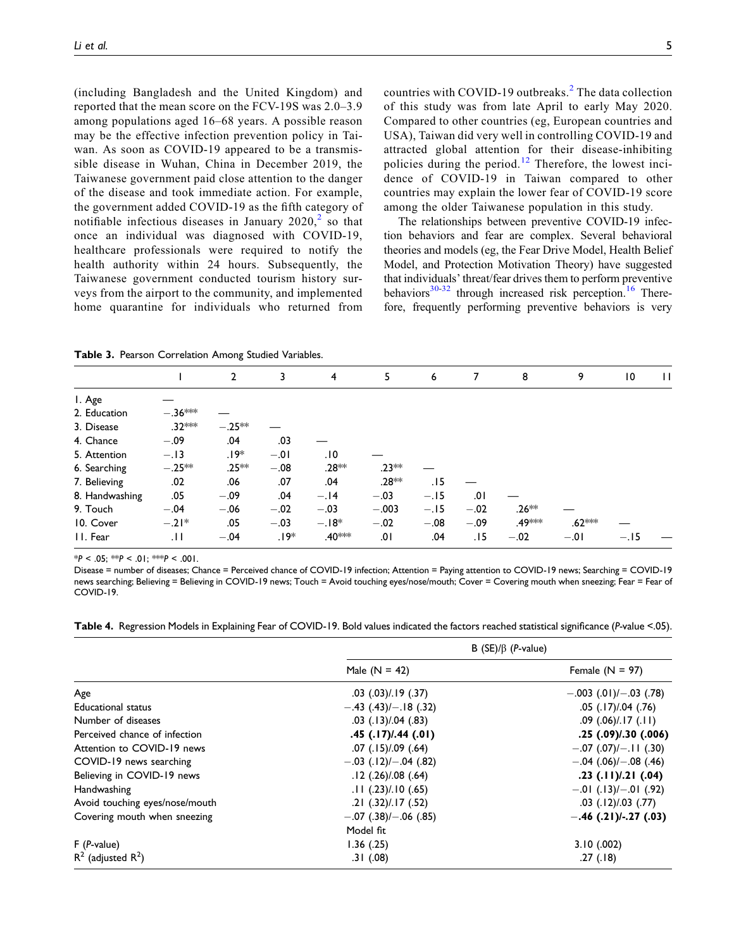(including Bangladesh and the United Kingdom) and reported that the mean score on the FCV-19S was 2.0–3.9 among populations aged 16–68 years. A possible reason may be the effective infection prevention policy in Taiwan. As soon as COVID-19 appeared to be a transmissible disease in Wuhan, China in December 2019, the Taiwanese government paid close attention to the danger of the disease and took immediate action. For example, the government added COVID-19 as the fifth category of notifiable infectious diseases in January  $2020$  $2020$ , so that once an individual was diagnosed with COVID-19, healthcare professionals were required to notify the health authority within 24 hours. Subsequently, the Taiwanese government conducted tourism history surveys from the airport to the community, and implemented home quarantine for individuals who returned from

countries with COVID-19 outbreaks.<sup>[2](#page-7-1)</sup> The data collection of this study was from late April to early May 2020. Compared to other countries (eg, European countries and USA), Taiwan did very well in controlling COVID-19 and attracted global attention for their disease-inhibiting policies during the period.<sup>[12](#page-7-7)</sup> Therefore, the lowest incidence of COVID-19 in Taiwan compared to other countries may explain the lower fear of COVID-19 score among the older Taiwanese population in this study.

The relationships between preventive COVID-19 infection behaviors and fear are complex. Several behavioral theories and models (eg, the Fear Drive Model, Health Belief Model, and Protection Motivation Theory) have suggested that individuals' threat/fear drives them to perform preventive behaviors $30-32$  $30-32$  $30-32$  through increased risk perception.<sup>[16](#page-7-11)</sup> Therefore, frequently performing preventive behaviors is very

Table 3. Pearson Correlation Among Studied Variables.

|                |           | 2        | 3      | $\overline{4}$     | 5       | 6      | 7      | 8                  | 9        | $\overline{10}$ | $\mathbf{H}$ |
|----------------|-----------|----------|--------|--------------------|---------|--------|--------|--------------------|----------|-----------------|--------------|
| I. Age         |           |          |        |                    |         |        |        |                    |          |                 |              |
| 2. Education   | $-.36***$ |          |        |                    |         |        |        |                    |          |                 |              |
| 3. Disease     | .32 ***   | $-.25**$ |        |                    |         |        |        |                    |          |                 |              |
| 4. Chance      | $-.09$    | .04      | .03    |                    |         |        |        |                    |          |                 |              |
| 5. Attention   | $-.13$    | .19*     | $-.01$ | .10                |         |        |        |                    |          |                 |              |
| 6. Searching   | $-.25***$ | $.25**$  | $-.08$ | .28**              | $.23**$ |        |        |                    |          |                 |              |
| 7. Believing   | .02       | .06      | .07    | .04                | $.28**$ | . I 5  |        |                    |          |                 |              |
| 8. Handwashing | .05       | $-.09$   | .04    | $-.14$             | $-.03$  | $-.15$ | .01    |                    |          |                 |              |
| 9. Touch       | $-.04$    | $-.06$   | $-.02$ | $-.03$             | $-.003$ | $-.15$ | $-.02$ | $.26**$            |          |                 |              |
| 10. Cover      | $-.21*$   | .05      | $-.03$ | $-.18*$            | $-.02$  | $-.08$ | $-.09$ | .49 <sup>***</sup> | $.62***$ |                 |              |
| II. Fear       | .11       | $-.04$   | ∗19.   | .40 <sup>***</sup> | .01     | .04    | .15    | $-.02$             | $-.01$   | $-.15$          |              |

 $*P < .05$ ;  $*P < .01$ ;  $*P < .001$ .

<span id="page-4-0"></span>Disease = number of diseases; Chance = Perceived chance of COVID-19 infection; Attention = Paying attention to COVID-19 news; Searching = COVID-19 news searching; Believing = Believing in COVID-19 news; Touch = Avoid touching eyes/nose/mouth; Cover = Covering mouth when sneezing; Fear = Fear of COVID-19.

<span id="page-4-1"></span>Table 4. Regression Models in Explaining Fear of COVID-19. Bold values indicated the factors reached statistical significance (P-value <.05).

|                                | B $(SE)/\beta$ ( <i>P</i> -value) |                             |  |  |
|--------------------------------|-----------------------------------|-----------------------------|--|--|
|                                | Male $(N = 42)$                   | Female $(N = 97)$           |  |  |
| Age                            | $.03$ $(.03)/.19$ $(.37)$         | $-.003$ (.01)/ $-.03$ (.78) |  |  |
| <b>Educational status</b>      | $-.43$ (.43)/ $-.18$ (.32)        | $.05$ $(.17)/.04$ $(.76)$   |  |  |
| Number of diseases             | $.03$ $(.13)/.04$ $(.83)$         | $.09$ $(.06)/.17$ $(.11)$   |  |  |
| Perceived chance of infection  | $.45$ $(.17)/.44$ $(.01)$         | $.25$ $(.09)/.30$ $(.006)$  |  |  |
| Attention to COVID-19 news     | $.07$ $(.15)/.09$ $(.64)$         | $-.07$ (.07)/ $-.11$ (.30)  |  |  |
| COVID-19 news searching        | $-.03$ (.12)/ $-.04$ (.82)        | $-.04$ (.06)/ $-.08$ (.46)  |  |  |
| Believing in COVID-19 news     | $.12$ $(.26)/.08$ $(.64)$         | $.23$ $(.11)/.21$ $(.04)$   |  |  |
| Handwashing                    | $.11$ $(.23)/.10$ $(.65)$         | $-.01$ (.13)/ $-.01$ (.92)  |  |  |
| Avoid touching eyes/nose/mouth | .21 (.32)/.17 (.52)               | $.03$ $(.12)/.03$ $(.77)$   |  |  |
| Covering mouth when sneezing   | $-.07$ $(.38)/-.06$ $(.85)$       | $-.46$ (.21)/-.27 (.03)     |  |  |
|                                | Model fit                         |                             |  |  |
| $F(P-value)$                   | 1.36(0.25)                        | 3.10(0.002)                 |  |  |
| $R^2$ (adjusted $R^2$ )        | .31(.08)                          | .27(.18)                    |  |  |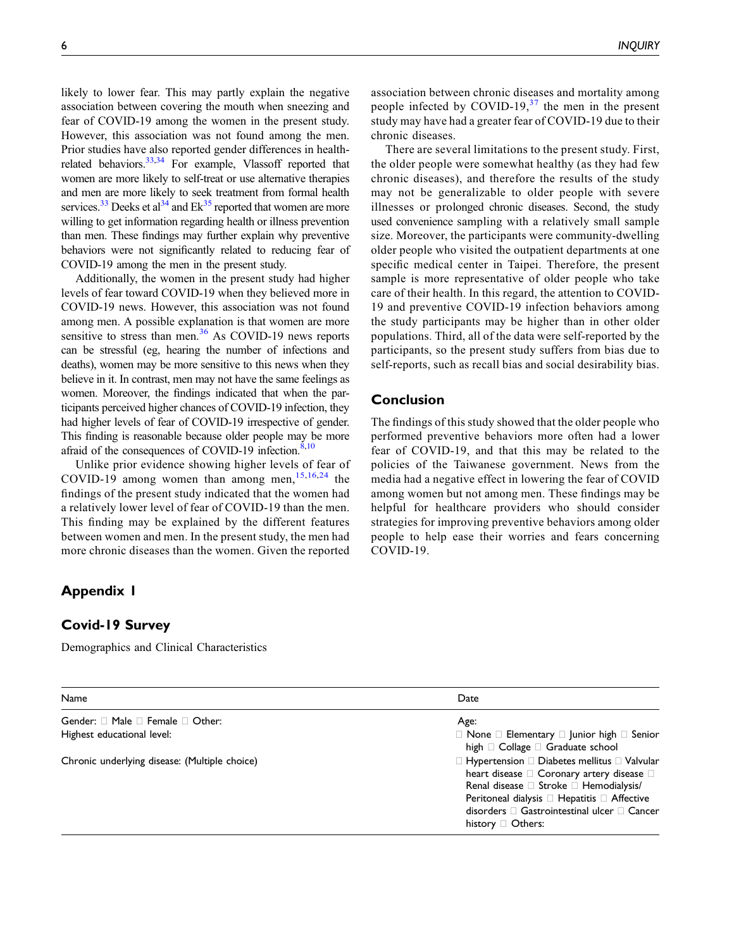likely to lower fear. This may partly explain the negative association between covering the mouth when sneezing and fear of COVID-19 among the women in the present study. However, this association was not found among the men. Prior studies have also reported gender differences in health-related behaviors.<sup>33[,34](#page-8-8)</sup> For example, Vlassoff reported that women are more likely to self-treat or use alternative therapies and men are more likely to seek treatment from formal health services.<sup>[33](#page-8-7)</sup> Deeks et al<sup>34</sup> and  $Ek^{35}$  $Ek^{35}$  $Ek^{35}$  reported that women are more willing to get information regarding health or illness prevention than men. These findings may further explain why preventive behaviors were not significantly related to reducing fear of COVID-19 among the men in the present study.

Additionally, the women in the present study had higher levels of fear toward COVID-19 when they believed more in COVID-19 news. However, this association was not found among men. A possible explanation is that women are more sensitive to stress than men. $36$  As COVID-19 news reports can be stressful (eg, hearing the number of infections and deaths), women may be more sensitive to this news when they believe in it. In contrast, men may not have the same feelings as women. Moreover, the findings indicated that when the participants perceived higher chances of COVID-19 infection, they had higher levels of fear of COVID-19 irrespective of gender. This finding is reasonable because older people may be more afraid of the consequences of COVID-19 infection.<sup>8,[10](#page-7-5)</sup>

Unlike prior evidence showing higher levels of fear of COVID-19 among women than among men,  $15,16,24$  $15,16,24$  $15,16,24$  the findings of the present study indicated that the women had a relatively lower level of fear of COVID-19 than the men. This finding may be explained by the different features between women and men. In the present study, the men had more chronic diseases than the women. Given the reported

# <span id="page-5-0"></span>Appendix 1

## Covid-19 Survey

Demographics and Clinical Characteristics

association between chronic diseases and mortality among people infected by COVID-19, $37$  the men in the present study may have had a greater fear of COVID-19 due to their chronic diseases.

There are several limitations to the present study. First, the older people were somewhat healthy (as they had few chronic diseases), and therefore the results of the study may not be generalizable to older people with severe illnesses or prolonged chronic diseases. Second, the study used convenience sampling with a relatively small sample size. Moreover, the participants were community-dwelling older people who visited the outpatient departments at one specific medical center in Taipei. Therefore, the present sample is more representative of older people who take care of their health. In this regard, the attention to COVID-19 and preventive COVID-19 infection behaviors among the study participants may be higher than in other older populations. Third, all of the data were self-reported by the participants, so the present study suffers from bias due to self-reports, such as recall bias and social desirability bias.

## Conclusion

The findings of this study showed that the older people who performed preventive behaviors more often had a lower fear of COVID-19, and that this may be related to the policies of the Taiwanese government. News from the media had a negative effect in lowering the fear of COVID among women but not among men. These findings may be helpful for healthcare providers who should consider strategies for improving preventive behaviors among older people to help ease their worries and fears concerning COVID-19.

| Name                                            | Date                                                                                                                                                                                                                                                                                                  |  |  |  |
|-------------------------------------------------|-------------------------------------------------------------------------------------------------------------------------------------------------------------------------------------------------------------------------------------------------------------------------------------------------------|--|--|--|
| Gender: $\Box$ Male $\Box$ Female $\Box$ Other: | Age:                                                                                                                                                                                                                                                                                                  |  |  |  |
| Highest educational level:                      | $\Box$ None $\Box$ Elementary $\Box$ Junior high $\Box$ Senior<br>high $\Box$ Collage $\Box$ Graduate school                                                                                                                                                                                          |  |  |  |
| Chronic underlying disease: (Multiple choice)   | $\Box$ Hypertension $\Box$ Diabetes mellitus $\Box$ Valvular<br>heart disease $\square$ Coronary artery disease $\square$<br>Renal disease □ Stroke □ Hemodialysis/<br>Peritoneal dialysis □ Hepatitis □ Affective<br>disorders $\Box$ Gastrointestinal ulcer $\Box$ Cancer<br>history $\Box$ Others: |  |  |  |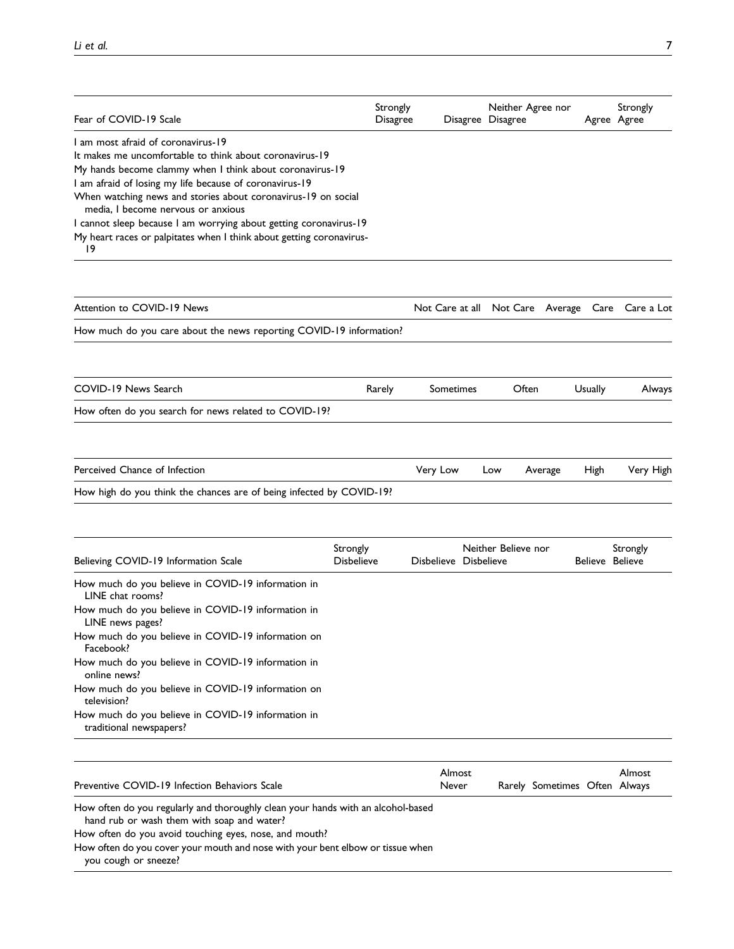| Fear of COVID-19 Scale                                                                                                                                                                                                                                                                                                      | Strongly<br><b>Disagree</b>   |                       | Neither Agree nor<br>Disagree Disagree |                               |         | Strongly<br>Agree Agree                          |
|-----------------------------------------------------------------------------------------------------------------------------------------------------------------------------------------------------------------------------------------------------------------------------------------------------------------------------|-------------------------------|-----------------------|----------------------------------------|-------------------------------|---------|--------------------------------------------------|
| 1 am most afraid of coronavirus-19<br>It makes me uncomfortable to think about coronavirus-19<br>My hands become clammy when I think about coronavirus-19<br>I am afraid of losing my life because of coronavirus-19<br>When watching news and stories about coronavirus-19 on social<br>media, I become nervous or anxious |                               |                       |                                        |                               |         |                                                  |
| I cannot sleep because I am worrying about getting coronavirus-19<br>My heart races or palpitates when I think about getting coronavirus-<br>19                                                                                                                                                                             |                               |                       |                                        |                               |         |                                                  |
| Attention to COVID-19 News                                                                                                                                                                                                                                                                                                  |                               |                       |                                        |                               |         | Not Care at all Not Care Average Care Care a Lot |
| How much do you care about the news reporting COVID-19 information?                                                                                                                                                                                                                                                         |                               |                       |                                        |                               |         |                                                  |
| COVID-19 News Search                                                                                                                                                                                                                                                                                                        | Rarely                        | Sometimes             | Often                                  |                               | Usually | Always                                           |
| How often do you search for news related to COVID-19?                                                                                                                                                                                                                                                                       |                               |                       |                                        |                               |         |                                                  |
| Perceived Chance of Infection                                                                                                                                                                                                                                                                                               |                               | Very Low              | Low                                    | Average                       | High    | Very High                                        |
| How high do you think the chances are of being infected by COVID-19?                                                                                                                                                                                                                                                        |                               |                       |                                        |                               |         |                                                  |
| Believing COVID-19 Information Scale                                                                                                                                                                                                                                                                                        | Strongly<br><b>Disbelieve</b> | Disbelieve Disbelieve | Neither Believe nor                    |                               |         | Strongly<br>Believe Believe                      |
| How much do you believe in COVID-19 information in<br>LINE chat rooms?<br>How much do you believe in COVID-19 information in                                                                                                                                                                                                |                               |                       |                                        |                               |         |                                                  |
| LINE news pages?<br>How much do you believe in COVID-19 information on<br>Facebook?                                                                                                                                                                                                                                         |                               |                       |                                        |                               |         |                                                  |
| How much do you believe in COVID-19 information in<br>online news?<br>How much do you believe in COVID-19 information on                                                                                                                                                                                                    |                               |                       |                                        |                               |         |                                                  |
| television?<br>How much do you believe in COVID-19 information in<br>traditional newspapers?                                                                                                                                                                                                                                |                               |                       |                                        |                               |         |                                                  |
| Preventive COVID-19 Infection Behaviors Scale                                                                                                                                                                                                                                                                               |                               | Almost<br>Never       |                                        | Rarely Sometimes Often Always |         | Almost                                           |
| How often do you regularly and thoroughly clean your hands with an alcohol-based<br>hand rub or wash them with soap and water?<br>How often do you avoid touching eyes, nose, and mouth?<br>How often do you cover your mouth and nose with your bent elbow or tissue when<br>you cough or sneeze?                          |                               |                       |                                        |                               |         |                                                  |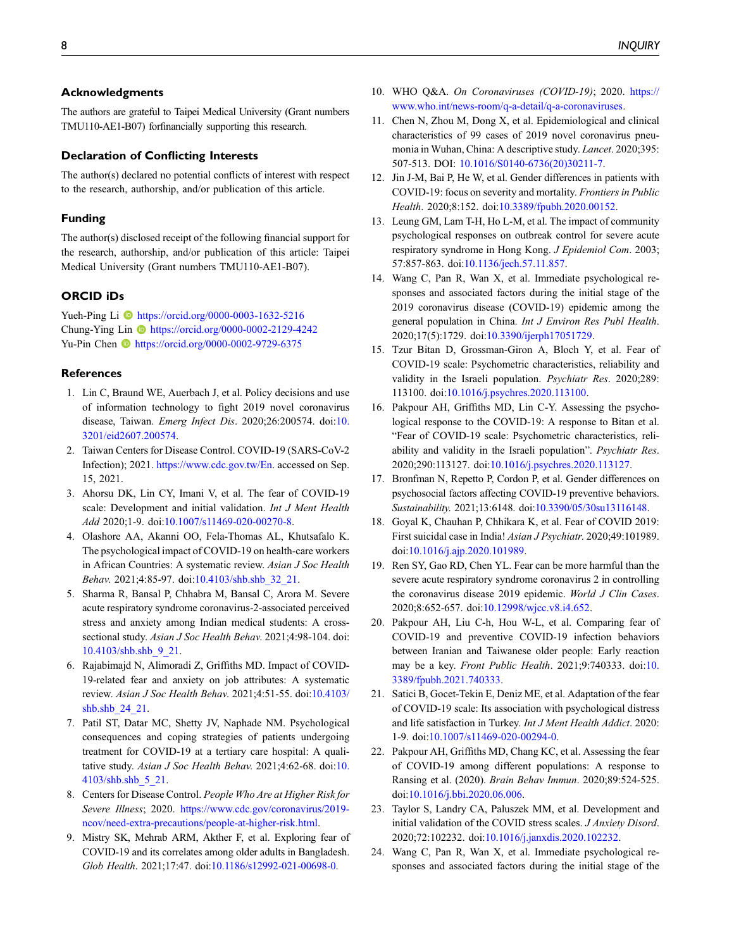## Acknowledgments

The authors are grateful to Taipei Medical University (Grant numbers TMU110-AE1-B07) forfinancially supporting this research.

#### Declaration of Conflicting Interests

The author(s) declared no potential conflicts of interest with respect to the research, authorship, and/or publication of this article.

#### Funding

The author(s) disclosed receipt of the following financial support for the research, authorship, and/or publication of this article: Taipei Medical University (Grant numbers TMU110-AE1-B07).

#### ORCID iDs

Yueh-Ping Li **b** <https://orcid.org/0000-0003-1632-5216> Chung-Ying Lin <https://orcid.org/0000-0002-2129-4242> Yu-Pin Chen **b** <https://orcid.org/0000-0002-9729-6375>

#### <span id="page-7-0"></span>**References**

- 1. Lin C, Braund WE, Auerbach J, et al. Policy decisions and use of information technology to fight 2019 novel coronavirus disease, Taiwan. Emerg Infect Dis. 2020;26:200574. doi:[10.](https://doi.org/10.3201/eid2607.200574) [3201/eid2607.200574.](https://doi.org/10.3201/eid2607.200574)
- <span id="page-7-1"></span>2. Taiwan Centers for Disease Control. COVID-19 (SARS-CoV-2 Infection); 2021. <https://www.cdc.gov.tw/En>. accessed on Sep. 15, 2021.
- <span id="page-7-2"></span>3. Ahorsu DK, Lin CY, Imani V, et al. The fear of COVID-19 scale: Development and initial validation. Int J Ment Health Add 2020;1-9. doi[:10.1007/s11469-020-00270-8](https://doi.org/10.1007/s11469-020-00270-8).
- 4. Olashore AA, Akanni OO, Fela-Thomas AL, Khutsafalo K. The psychological impact of COVID-19 on health-care workers in African Countries: A systematic review. Asian J Soc Health Behav. 2021;4:85-97. doi:[10.4103/shb.shb\\_32\\_21](https://doi.org/10.4103/shb.shb_32_21).
- 5. Sharma R, Bansal P, Chhabra M, Bansal C, Arora M. Severe acute respiratory syndrome coronavirus-2-associated perceived stress and anxiety among Indian medical students: A crosssectional study. Asian J Soc Health Behav. 2021;4:98-104. doi: [10.4103/shb.shb\\_9\\_21.](https://doi.org/10.4103/shb.shb_9_21)
- 6. Rajabimajd N, Alimoradi Z, Griffiths MD. Impact of COVID-19-related fear and anxiety on job attributes: A systematic review. Asian J Soc Health Behav. 2021;4:51-55. doi[:10.4103/](https://doi.org/10.4103/shb.shb_24_21) [shb.shb\\_24\\_21.](https://doi.org/10.4103/shb.shb_24_21)
- <span id="page-7-3"></span>7. Patil ST, Datar MC, Shetty JV, Naphade NM. Psychological consequences and coping strategies of patients undergoing treatment for COVID-19 at a tertiary care hospital: A qualitative study. Asian J Soc Health Behav. 2021;4:62-68. doi:[10.](https://doi.org/10.4103/shb.shb_5_21) [4103/shb.shb\\_5\\_21.](https://doi.org/10.4103/shb.shb_5_21)
- <span id="page-7-4"></span>8. Centers for Disease Control. People Who Are at Higher Risk for Severe Illness; 2020. [https://www.cdc.gov/coronavirus/2019](https://www.cdc.gov/coronavirus/2019-ncov/need-extra-precautions/people-at-higher-risk.html) [ncov/need-extra-precautions/people-at-higher-risk.html](https://www.cdc.gov/coronavirus/2019-ncov/need-extra-precautions/people-at-higher-risk.html).
- <span id="page-7-18"></span>9. Mistry SK, Mehrab ARM, Akther F, et al. Exploring fear of COVID-19 and its correlates among older adults in Bangladesh. Glob Health. 2021;17:47. doi[:10.1186/s12992-021-00698-0](https://doi.org/10.1186/s12992-021-00698-0).
- <span id="page-7-5"></span>10. WHO Q&A. On Coronaviruses (COVID-19); 2020. [https://](https://www.who.int/news-room/q-a-detail/q-a-coronaviruses) [www.who.int/news-room/q-a-detail/q-a-coronaviruses.](https://www.who.int/news-room/q-a-detail/q-a-coronaviruses)
- <span id="page-7-6"></span>11. Chen N, Zhou M, Dong X, et al. Epidemiological and clinical characteristics of 99 cases of 2019 novel coronavirus pneumonia in Wuhan, China: A descriptive study. Lancet. 2020;395: 507-513. DOI: [10.1016/S0140-6736\(20\)30211-7.](https://doi.org/10.1016/S0140-6736(20)30211-7)
- <span id="page-7-7"></span>12. Jin J-M, Bai P, He W, et al. Gender differences in patients with COVID-19: focus on severity and mortality. Frontiers in Public Health. 2020;8:152. doi[:10.3389/fpubh.2020.00152.](https://doi.org/10.3389/fpubh.2020.00152)
- <span id="page-7-8"></span>13. Leung GM, Lam T-H, Ho L-M, et al. The impact of community psychological responses on outbreak control for severe acute respiratory syndrome in Hong Kong. J Epidemiol Com. 2003; 57:857-863. doi[:10.1136/jech.57.11.857](https://doi.org/10.1136/jech.57.11.857).
- <span id="page-7-9"></span>14. Wang C, Pan R, Wan X, et al. Immediate psychological responses and associated factors during the initial stage of the 2019 coronavirus disease (COVID-19) epidemic among the general population in China. Int J Environ Res Publ Health. 2020;17(5):1729. doi[:10.3390/ijerph17051729](https://doi.org/10.3390/ijerph17051729).
- <span id="page-7-10"></span>15. Tzur Bitan D, Grossman-Giron A, Bloch Y, et al. Fear of COVID-19 scale: Psychometric characteristics, reliability and validity in the Israeli population. Psychiatr Res. 2020;289: 113100. doi:[10.1016/j.psychres.2020.113100](https://doi.org/10.1016/j.psychres.2020.113100).
- <span id="page-7-11"></span>16. Pakpour AH, Griffiths MD, Lin C-Y. Assessing the psychological response to the COVID-19: A response to Bitan et al. "Fear of COVID-19 scale: Psychometric characteristics, reliability and validity in the Israeli population". Psychiatr Res. 2020;290:113127. doi[:10.1016/j.psychres.2020.113127](https://doi.org/10.1016/j.psychres.2020.113127).
- <span id="page-7-12"></span>17. Bronfman N, Repetto P, Cordon P, et al. Gender differences on psychosocial factors affecting COVID-19 preventive behaviors. Sustainability. 2021;13:6148. doi:[10.3390/05/30su13116148.](https://doi.org/10.3390/05/30su13116148)
- <span id="page-7-13"></span>18. Goyal K, Chauhan P, Chhikara K, et al. Fear of COVID 2019: First suicidal case in India! Asian J Psychiatr. 2020;49:101989. doi:[10.1016/j.ajp.2020.101989](https://doi.org/10.1016/j.ajp.2020.101989).
- <span id="page-7-14"></span>19. Ren SY, Gao RD, Chen YL. Fear can be more harmful than the severe acute respiratory syndrome coronavirus 2 in controlling the coronavirus disease 2019 epidemic. World J Clin Cases. 2020;8:652-657. doi[:10.12998/wjcc.v8.i4.652](https://doi.org/10.12998/wjcc.v8.i4.652).
- <span id="page-7-15"></span>20. Pakpour AH, Liu C-h, Hou W-L, et al. Comparing fear of COVID-19 and preventive COVID-19 infection behaviors between Iranian and Taiwanese older people: Early reaction may be a key. Front Public Health. 2021;9:740333. doi[:10.](https://doi.org/10.3389/fpubh.2021.740333) [3389/fpubh.2021.740333.](https://doi.org/10.3389/fpubh.2021.740333)
- 21. Satici B, Gocet-Tekin E, Deniz ME, et al. Adaptation of the fear of COVID-19 scale: Its association with psychological distress and life satisfaction in Turkey. Int J Ment Health Addict. 2020: 1-9. doi[:10.1007/s11469-020-00294-0](https://doi.org/10.1007/s11469-020-00294-0).
- 22. Pakpour AH, Griffiths MD, Chang KC, et al. Assessing the fear of COVID-19 among different populations: A response to Ransing et al. (2020). Brain Behav Immun. 2020;89:524-525. doi:[10.1016/j.bbi.2020.06.006.](https://doi.org/10.1016/j.bbi.2020.06.006)
- <span id="page-7-16"></span>23. Taylor S, Landry CA, Paluszek MM, et al. Development and initial validation of the COVID stress scales. J Anxiety Disord. 2020;72:102232. doi:[10.1016/j.janxdis.2020.102232](https://doi.org/10.1016/j.janxdis.2020.102232).
- <span id="page-7-17"></span>24. Wang C, Pan R, Wan X, et al. Immediate psychological responses and associated factors during the initial stage of the